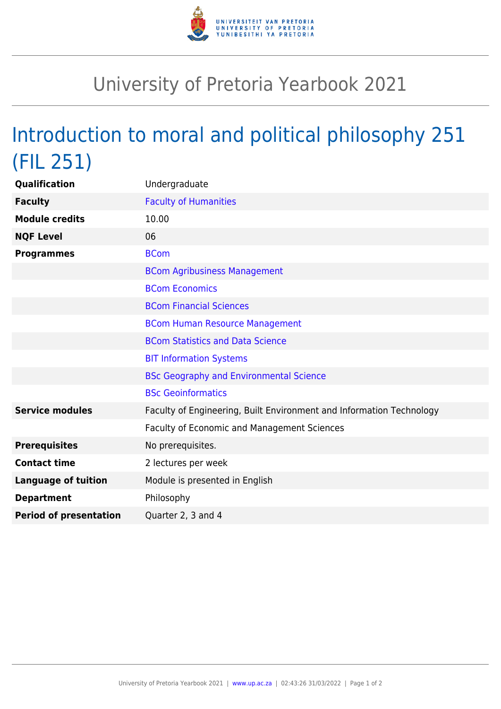

## University of Pretoria Yearbook 2021

## Introduction to moral and political philosophy 251 (FIL 251)

| <b>Qualification</b>          | Undergraduate                                                        |
|-------------------------------|----------------------------------------------------------------------|
| <b>Faculty</b>                | <b>Faculty of Humanities</b>                                         |
| <b>Module credits</b>         | 10.00                                                                |
| <b>NQF Level</b>              | 06                                                                   |
| <b>Programmes</b>             | <b>BCom</b>                                                          |
|                               | <b>BCom Agribusiness Management</b>                                  |
|                               | <b>BCom Economics</b>                                                |
|                               | <b>BCom Financial Sciences</b>                                       |
|                               | <b>BCom Human Resource Management</b>                                |
|                               | <b>BCom Statistics and Data Science</b>                              |
|                               | <b>BIT Information Systems</b>                                       |
|                               | <b>BSc Geography and Environmental Science</b>                       |
|                               | <b>BSc Geoinformatics</b>                                            |
| <b>Service modules</b>        | Faculty of Engineering, Built Environment and Information Technology |
|                               | Faculty of Economic and Management Sciences                          |
| <b>Prerequisites</b>          | No prerequisites.                                                    |
| <b>Contact time</b>           | 2 lectures per week                                                  |
| <b>Language of tuition</b>    | Module is presented in English                                       |
| <b>Department</b>             | Philosophy                                                           |
| <b>Period of presentation</b> | Quarter 2, 3 and 4                                                   |